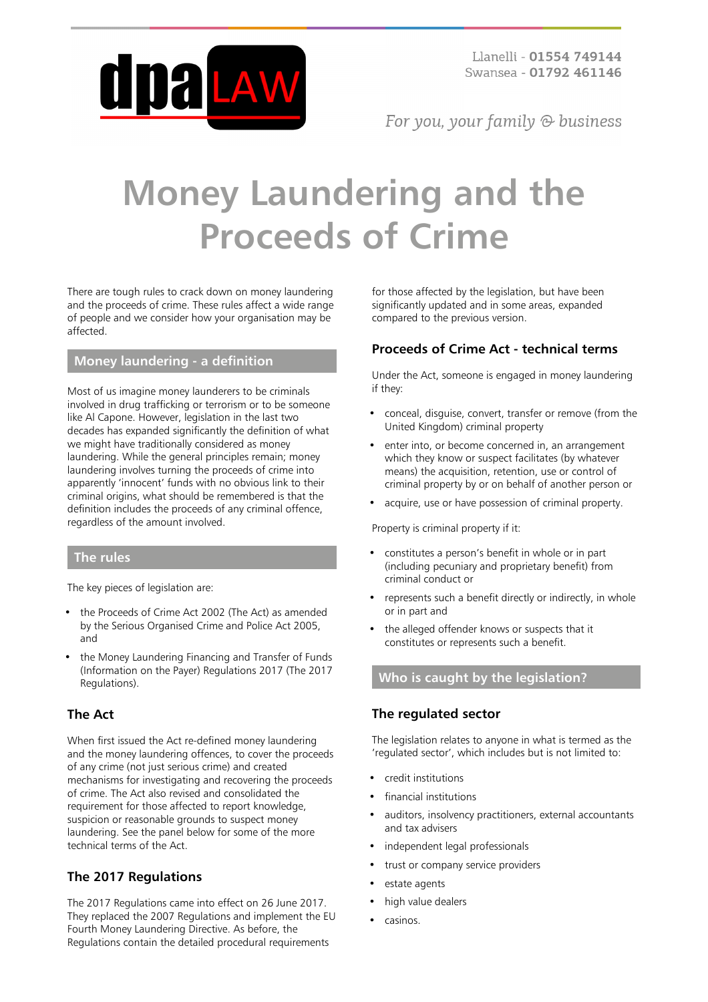

For you, your family  $\odot$  business

# **Money Laundering and the Proceeds of Crime**

There are tough rules to crack down on money laundering and the proceeds of crime. These rules affect a wide range of people and we consider how your organisation may be affected.

# **Money laundering - a definition**

Most of us imagine money launderers to be criminals involved in drug trafficking or terrorism or to be someone like Al Capone. However, legislation in the last two decades has expanded significantly the definition of what we might have traditionally considered as money laundering. While the general principles remain; money laundering involves turning the proceeds of crime into apparently 'innocent' funds with no obvious link to their criminal origins, what should be remembered is that the definition includes the proceeds of any criminal offence, regardless of the amount involved.

#### **The rules**

The key pieces of legislation are:

- the Proceeds of Crime Act 2002 (The Act) as amended by the Serious Organised Crime and Police Act 2005, and
- the Money Laundering Financing and Transfer of Funds (Information on the Payer) Regulations 2017 (The 2017 Regulations).

# **The Act**

When first issued the Act re-defined money laundering and the money laundering offences, to cover the proceeds of any crime (not just serious crime) and created mechanisms for investigating and recovering the proceeds of crime. The Act also revised and consolidated the requirement for those affected to report knowledge, suspicion or reasonable grounds to suspect money laundering. See the panel below for some of the more technical terms of the Act.

# **The 2017 Regulations**

The 2017 Regulations came into effect on 26 June 2017. They replaced the 2007 Regulations and implement the EU Fourth Money Laundering Directive. As before, the Regulations contain the detailed procedural requirements

for those affected by the legislation, but have been significantly updated and in some areas, expanded compared to the previous version.

#### **Proceeds of Crime Act - technical terms**

Under the Act, someone is engaged in money laundering if they:

- conceal, disguise, convert, transfer or remove (from the United Kingdom) criminal property
- enter into, or become concerned in, an arrangement which they know or suspect facilitates (by whatever means) the acquisition, retention, use or control of criminal property by or on behalf of another person or
- acquire, use or have possession of criminal property.

Property is criminal property if it:

- constitutes a person's benefit in whole or in part (including pecuniary and proprietary benefit) from criminal conduct or
- represents such a benefit directly or indirectly, in whole or in part and
- the alleged offender knows or suspects that it constitutes or represents such a benefit.

# **Who is caught by the legislation?**

#### **The regulated sector**

The legislation relates to anyone in what is termed as the 'regulated sector', which includes but is not limited to:

- credit institutions
- financial institutions
- auditors, insolvency practitioners, external accountants and tax advisers
- independent legal professionals
- trust or company service providers
- estate agents
- high value dealers
- casinos.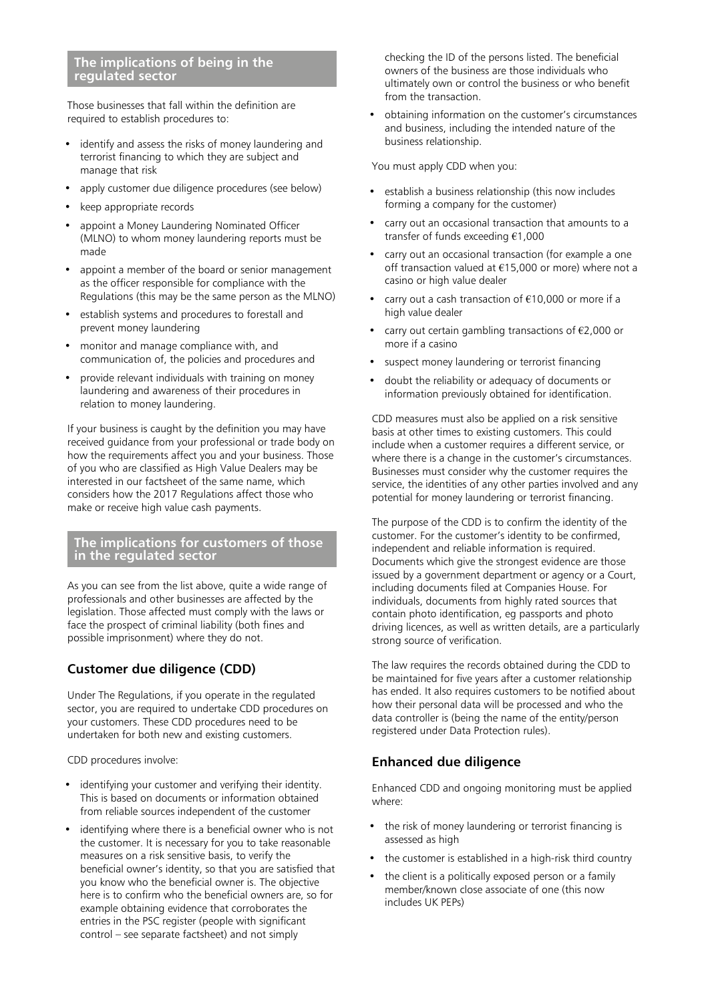#### **The implications of being in the regulated sector**

Those businesses that fall within the definition are required to establish procedures to:

- identify and assess the risks of money laundering and terrorist financing to which they are subject and manage that risk
- apply customer due diligence procedures (see below)
- keep appropriate records
- appoint a Money Laundering Nominated Officer (MLNO) to whom money laundering reports must be made
- appoint a member of the board or senior management as the officer responsible for compliance with the Regulations (this may be the same person as the MLNO)
- establish systems and procedures to forestall and prevent money laundering
- monitor and manage compliance with, and communication of, the policies and procedures and
- provide relevant individuals with training on money laundering and awareness of their procedures in relation to money laundering.

If your business is caught by the definition you may have received guidance from your professional or trade body on how the requirements affect you and your business. Those of you who are classified as High Value Dealers may be interested in our factsheet of the same name, which considers how the 2017 Regulations affect those who make or receive high value cash payments.

#### **The implications for customers of those in the regulated sector**

As you can see from the list above, quite a wide range of professionals and other businesses are affected by the legislation. Those affected must comply with the laws or face the prospect of criminal liability (both fines and possible imprisonment) where they do not.

# **Customer due diligence (CDD)**

Under The Regulations, if you operate in the regulated sector, you are required to undertake CDD procedures on your customers. These CDD procedures need to be undertaken for both new and existing customers.

CDD procedures involve:

- identifying your customer and verifying their identity. This is based on documents or information obtained from reliable sources independent of the customer
- identifying where there is a beneficial owner who is not the customer. It is necessary for you to take reasonable measures on a risk sensitive basis, to verify the beneficial owner's identity, so that you are satisfied that you know who the beneficial owner is. The objective here is to confirm who the beneficial owners are, so for example obtaining evidence that corroborates the entries in the PSC register (people with significant control – see separate factsheet) and not simply

checking the ID of the persons listed. The beneficial owners of the business are those individuals who ultimately own or control the business or who benefit from the transaction.

• obtaining information on the customer's circumstances and business, including the intended nature of the business relationship.

You must apply CDD when you:

- establish a business relationship (this now includes forming a company for the customer)
- carry out an occasional transaction that amounts to a transfer of funds exceeding €1,000
- carry out an occasional transaction (for example a one off transaction valued at €15,000 or more) where not a casino or high value dealer
- carry out a cash transaction of €10,000 or more if a high value dealer
- carry out certain gambling transactions of  $E$ 2,000 or more if a casino
- suspect money laundering or terrorist financing
- doubt the reliability or adequacy of documents or information previously obtained for identification.

CDD measures must also be applied on a risk sensitive basis at other times to existing customers. This could include when a customer requires a different service, or where there is a change in the customer's circumstances. Businesses must consider why the customer requires the service, the identities of any other parties involved and any potential for money laundering or terrorist financing.

The purpose of the CDD is to confirm the identity of the customer. For the customer's identity to be confirmed, independent and reliable information is required. Documents which give the strongest evidence are those issued by a government department or agency or a Court, including documents filed at Companies House. For individuals, documents from highly rated sources that contain photo identification, eg passports and photo driving licences, as well as written details, are a particularly strong source of verification.

The law requires the records obtained during the CDD to be maintained for five years after a customer relationship has ended. It also requires customers to be notified about how their personal data will be processed and who the data controller is (being the name of the entity/person registered under Data Protection rules).

# **Enhanced due diligence**

Enhanced CDD and ongoing monitoring must be applied where:

- the risk of money laundering or terrorist financing is assessed as high
- the customer is established in a high-risk third country
- the client is a politically exposed person or a family member/known close associate of one (this now includes UK PEPs)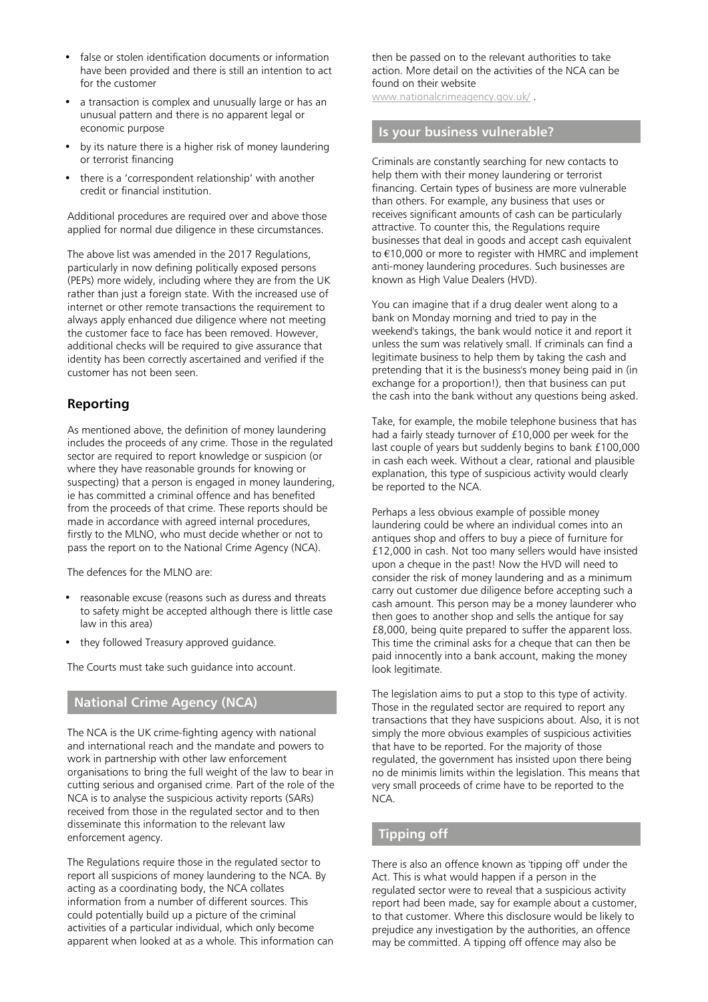- false or stolen identification documents or information have been provided and there is still an intention to act for the customer
- a transaction is complex and unusually large or has an unusual pattern and there is no apparent legal or economic purpose
- by its nature there is a higher risk of money laundering or terrorist financing
- there is a 'correspondent relationship' with another credit or financial institution.

Additional procedures are required over and above those applied for normal due diligence in these circumstances.

The above list was amended in the 2017 Regulations, particularly in now defining politically exposed persons (PEPs) more widely, including where they are from the UK rather than just a foreign state. With the increased use of internet or other remote transactions the requirement to always apply enhanced due diligence where not meeting the customer face to face has been removed. However, additional checks will be required to give assurance that identity has been correctly ascertained and verified if the customer has not been seen.

### **Reporting**

As mentioned above, the definition of money laundering includes the proceeds of any crime. Those in the regulated sector are required to report knowledge or suspicion (or where they have reasonable grounds for knowing or suspecting) that a person is engaged in money laundering, ie has committed a criminal offence and has benefited from the proceeds of that crime. These reports should be made in accordance with agreed internal procedures, firstly to the MLNO, who must decide whether or not to pass the report on to the National Crime Agency (NCA).

The defences for the MLNO are:

- reasonable excuse (reasons such as duress and threats to safety might be accepted although there is little case law in this area)
- they followed Treasury approved guidance.

The Courts must take such guidance into account.

# **National Crime Agency (NCA)**

The NCA is the UK crime-fighting agency with national and international reach and the mandate and powers to work in partnership with other law enforcement organisations to bring the full weight of the law to bear in cutting serious and organised crime. Part of the role of the NCA is to analyse the suspicious activity reports (SARs) received from those in the regulated sector and to then disseminate this information to the relevant law enforcement agency.

The Regulations require those in the regulated sector to report all suspicions of money laundering to the NCA. By acting as a coordinating body, the NCA collates information from a number of different sources. This could potentially build up a picture of the criminal activities of a particular individual, which only become apparent when looked at as a whole. This information can then be passed on to the relevant authorities to take action. More detail on the activities of the NCA can be found on their website

[www.nationalcrimeagency.gov.uk/](http://www.nationalcrimeagency.gov.uk/) .

#### **Is your business vulnerable?**

Criminals are constantly searching for new contacts to help them with their money laundering or terrorist financing. Certain types of business are more vulnerable than others. For example, any business that uses or receives significant amounts of cash can be particularly attractive. To counter this, the Regulations require businesses that deal in goods and accept cash equivalent to €10,000 or more to register with HMRC and implement anti-money laundering procedures. Such businesses are known as High Value Dealers (HVD).

You can imagine that if a drug dealer went along to a bank on Monday morning and tried to pay in the weekend's takings, the bank would notice it and report it unless the sum was relatively small. If criminals can find a legitimate business to help them by taking the cash and pretending that it is the business's money being paid in (in exchange for a proportion!), then that business can put the cash into the bank without any questions being asked.

Take, for example, the mobile telephone business that has had a fairly steady turnover of £10,000 per week for the last couple of years but suddenly begins to bank £100,000 in cash each week. Without a clear, rational and plausible explanation, this type of suspicious activity would clearly be reported to the NCA.

Perhaps a less obvious example of possible money laundering could be where an individual comes into an antiques shop and offers to buy a piece of furniture for £12,000 in cash. Not too many sellers would have insisted upon a cheque in the past! Now the HVD will need to consider the risk of money laundering and as a minimum carry out customer due diligence before accepting such a cash amount. This person may be a money launderer who then goes to another shop and sells the antique for say £8,000, being quite prepared to suffer the apparent loss. This time the criminal asks for a cheque that can then be paid innocently into a bank account, making the money look legitimate.

The legislation aims to put a stop to this type of activity. Those in the regulated sector are required to report any transactions that they have suspicions about. Also, it is not simply the more obvious examples of suspicious activities that have to be reported. For the majority of those regulated, the government has insisted upon there being no de minimis limits within the legislation. This means that very small proceeds of crime have to be reported to the NCA.

#### **Tipping off**

There is also an offence known as 'tipping off' under the Act. This is what would happen if a person in the regulated sector were to reveal that a suspicious activity report had been made, say for example about a customer, to that customer. Where this disclosure would be likely to prejudice any investigation by the authorities, an offence may be committed. A tipping off offence may also be